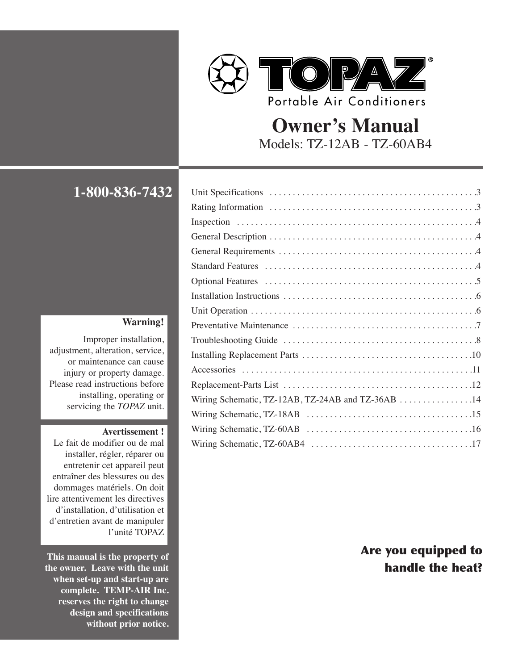

# **Owner's Manual** Models: TZ-12AB - TZ-60AB4

**1-800-836-7432** 

#### **Warning!**

Improper installation, adjustment, alteration, service, or maintenance can cause injury or property damage. Please read instructions before installing, operating or servicing the *TOPAZ* unit.

#### **Avertissement !**

Le fait de modifier ou de mal installer, régler, réparer ou entretenir cet appareil peut entraîner des blessures ou des dommages matériels. On doit lire attentivement les directives d'installation, d'utilisation et d'entretien avant de manipuler l'unité TOPAZ

**This manual is the property of the owner. Leave with the unit when set-up and start-up are complete. TEMP-AIR Inc. reserves the right to change design and specifications without prior notice.**

| Inspection $\ldots \ldots \ldots \ldots \ldots \ldots \ldots \ldots \ldots \ldots \ldots \ldots$ |  |
|--------------------------------------------------------------------------------------------------|--|
|                                                                                                  |  |
|                                                                                                  |  |
|                                                                                                  |  |
|                                                                                                  |  |
|                                                                                                  |  |
|                                                                                                  |  |
|                                                                                                  |  |
|                                                                                                  |  |
|                                                                                                  |  |
|                                                                                                  |  |
|                                                                                                  |  |
| Wiring Schematic, TZ-12AB, TZ-24AB and TZ-36AB 14                                                |  |
|                                                                                                  |  |
|                                                                                                  |  |
|                                                                                                  |  |

# Are you equipped to handle the heat?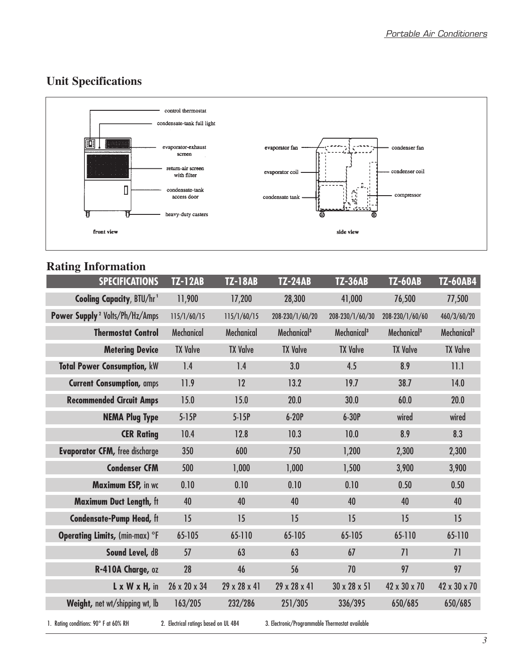# **Unit Specifications**



# **Rating Information**

| <b>SPECIFICATIONS</b>                      | <b>TZ-12AB</b>    | <b>TZ-18AB</b>    | <b>TZ-24AB</b>          | <b>TZ-36AB</b>           | <b>TZ-60AB</b>          | <b>TZ-60AB4</b>         |
|--------------------------------------------|-------------------|-------------------|-------------------------|--------------------------|-------------------------|-------------------------|
| <b>Cooling Capacity, BTU/hr1</b>           | 11,900            | 17,200            | 28,300                  | 41,000                   | 76,500                  | 77,500                  |
| Power Supply <sup>2</sup> Volts/Ph/Hz/Amps | 115/1/60/15       | 115/1/60/15       | 208-230/1/60/20         | 208-230/1/60/30          | 208-230/1/60/60         | 460/3/60/20             |
| <b>Thermostat Control</b>                  | <b>Mechanical</b> | <b>Mechanical</b> | Mechanical <sup>3</sup> | Mechanical <sup>3</sup>  | Mechanical <sup>3</sup> | Mechanical <sup>3</sup> |
| <b>Metering Device</b>                     | <b>TX Valve</b>   | <b>TX Valve</b>   | <b>TX Valve</b>         | <b>TX Valve</b>          | <b>TX Valve</b>         | <b>TX Valve</b>         |
| <b>Total Power Consumption, kW</b>         | 1.4               | 1.4               | 3.0                     | 4.5                      | 8.9                     | 11.1                    |
| <b>Current Consumption, amps</b>           | 11.9              | 12                | 13.2                    | 19.7                     | 38.7                    | 14.0                    |
| <b>Recommended Circuit Amps</b>            | 15.0              | 15.0              | 20.0                    | 30.0                     | 60.0                    | 20.0                    |
| <b>NEMA Plug Type</b>                      | $5-15P$           | $5-15P$           | $6-20P$                 | $6-30P$                  | wired                   | wired                   |
| <b>CER Rating</b>                          | 10.4              | 12.8              | 10.3                    | 10.0                     | 8.9                     | 8.3                     |
| <b>Evaporator CFM, free discharge</b>      | 350               | 600               | 750                     | 1,200                    | 2,300                   | 2,300                   |
| <b>Condenser CFM</b>                       | 500               | 1,000             | 1,000                   | 1,500                    | 3,900                   | 3,900                   |
| Maximum ESP, in wc                         | 0.10              | 0.10              | 0.10                    | 0.10                     | 0.50                    | 0.50                    |
| Maximum Duct Length, ft                    | 40                | 40                | 40                      | 40                       | 40                      | 40                      |
| <b>Condensate-Pump Head, ft</b>            | 15                | 15                | 15                      | 15                       | 15                      | 15                      |
| Operating Limits, (min-max) °F             | 65-105            | 65-110            | 65-105                  | 65-105                   | 65-110                  | 65-110                  |
| Sound Level, dB                            | 57                | 63                | 63                      | 67                       | 71                      | 71                      |
| R-410A Charge, oz                          | 28                | 46                | 56                      | 70                       | 97                      | 97                      |
| $L \times W \times H$ , in                 | 26 x 20 x 34      | 29 x 28 x 41      | 29 x 28 x 41            | $30 \times 28 \times 51$ | 42 x 30 x 70            | 42 x 30 x 70            |
| Weight, net wt/shipping wt, lb             | 163/205           | 232/286           | 251/305                 | 336/395                  | 650/685                 | 650/685                 |

1. Rating conditions: 90° F at 60% RH 2. Electrical ratings based on UL 484 3. Electronic/Programmable Thermostat available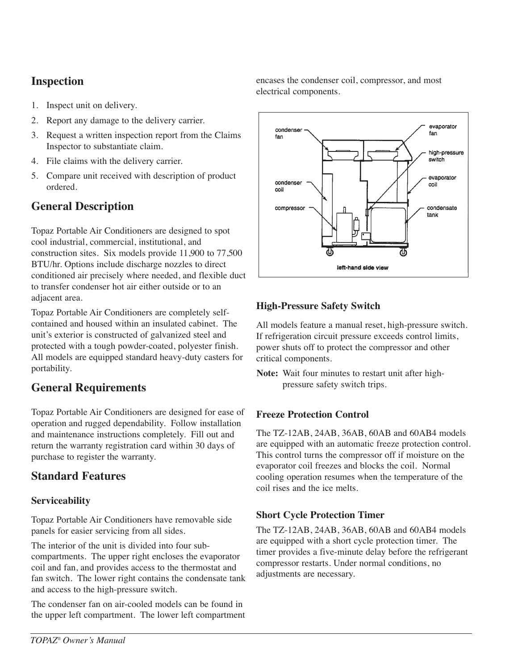## **Inspection**

- 1. Inspect unit on delivery.
- 2. Report any damage to the delivery carrier.
- 3. Request a written inspection report from the Claims Inspector to substantiate claim.
- 4. File claims with the delivery carrier.
- 5. Compare unit received with description of product ordered.

## **General Description**

Topaz Portable Air Conditioners are designed to spot cool industrial, commercial, institutional, and construction sites. Six models provide 11,900 to 77,500 BTU/hr. Options include discharge nozzles to direct conditioned air precisely where needed, and flexible duct to transfer condenser hot air either outside or to an adjacent area.

Topaz Portable Air Conditioners are completely selfcontained and housed within an insulated cabinet. The unit's exterior is constructed of galvanized steel and protected with a tough powder-coated, polyester finish. All models are equipped standard heavy-duty casters for portability.

## **General Requirements**

Topaz Portable Air Conditioners are designed for ease of operation and rugged dependability. Follow installation and maintenance instructions completely. Fill out and return the warranty registration card within 30 days of purchase to register the warranty.

## **Standard Features**

## **Serviceability**

Topaz Portable Air Conditioners have removable side panels for easier servicing from all sides.

The interior of the unit is divided into four subcompartments. The upper right encloses the evaporator coil and fan, and provides access to the thermostat and fan switch. The lower right contains the condensate tank and access to the high-pressure switch.

The condenser fan on air-cooled models can be found in the upper left compartment. The lower left compartment encases the condenser coil, compressor, and most electrical components.



## **High-Pressure Safety Switch**

All models feature a manual reset, high-pressure switch. If refrigeration circuit pressure exceeds control limits, power shuts off to protect the compressor and other critical components.

**Note:** Wait four minutes to restart unit after highpressure safety switch trips.

## **Freeze Protection Control**

The TZ-12AB, 24AB, 36AB, 60AB and 60AB4 models are equipped with an automatic freeze protection control. This control turns the compressor off if moisture on the evaporator coil freezes and blocks the coil. Normal cooling operation resumes when the temperature of the coil rises and the ice melts.

## **Short Cycle Protection Timer**

The TZ-12AB, 24AB, 36AB, 60AB and 60AB4 models are equipped with a short cycle protection timer. The timer provides a five-minute delay before the refrigerant compressor restarts. Under normal conditions, no adjustments are necessary.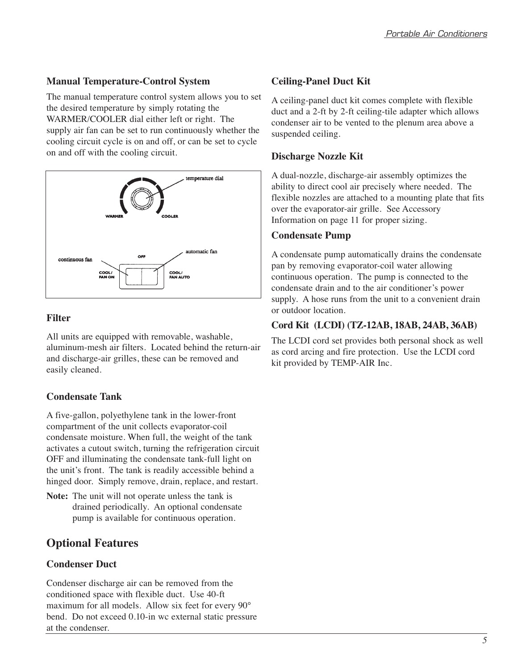## **Manual Temperature-Control System**

The manual temperature control system allows you to set the desired temperature by simply rotating the WARMER/COOLER dial either left or right. The supply air fan can be set to run continuously whether the cooling circuit cycle is on and off, or can be set to cycle on and off with the cooling circuit.



## **Filter**

All units are equipped with removable, washable, aluminum-mesh air filters. Located behind the return-air and discharge-air grilles, these can be removed and easily cleaned.

## **Condensate Tank**

A five-gallon, polyethylene tank in the lower-front compartment of the unit collects evaporator-coil condensate moisture. When full, the weight of the tank activates a cutout switch, turning the refrigeration circuit OFF and illuminating the condensate tank-full light on the unit's front. The tank is readily accessible behind a hinged door. Simply remove, drain, replace, and restart.

**Note:** The unit will not operate unless the tank is drained periodically. An optional condensate pump is available for continuous operation.

## **Optional Features**

## **Condenser Duct**

Condenser discharge air can be removed from the conditioned space with flexible duct. Use 40-ft maximum for all models. Allow six feet for every 90° bend. Do not exceed 0.10-in wc external static pressure at the condenser.

## **Ceiling-Panel Duct Kit**

A ceiling-panel duct kit comes complete with flexible duct and a 2-ft by 2-ft ceiling-tile adapter which allows condenser air to be vented to the plenum area above a suspended ceiling.

## **Discharge Nozzle Kit**

A dual-nozzle, discharge-air assembly optimizes the ability to direct cool air precisely where needed. The flexible nozzles are attached to a mounting plate that fits over the evaporator-air grille. See Accessory Information on page 11 for proper sizing.

## **Condensate Pump**

A condensate pump automatically drains the condensate pan by removing evaporator-coil water allowing continuous operation. The pump is connected to the condensate drain and to the air conditioner's power supply. A hose runs from the unit to a convenient drain or outdoor location.

## **Cord Kit (LCDI) (TZ-12AB, 18AB, 24AB, 36AB)**

The LCDI cord set provides both personal shock as well as cord arcing and fire protection. Use the LCDI cord kit provided by TEMP-AIR Inc.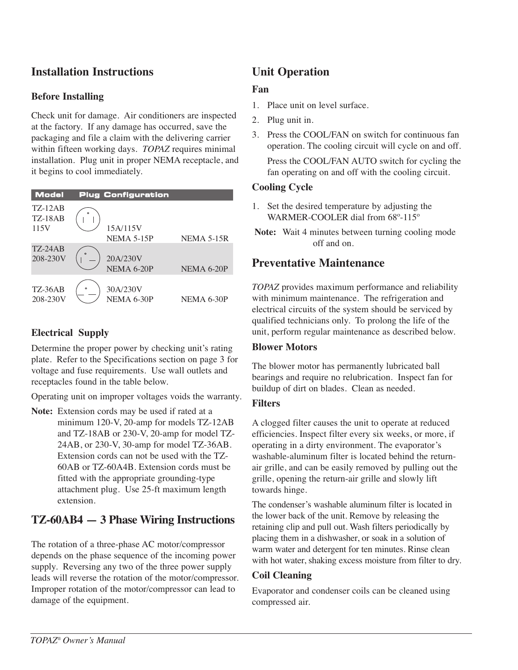## **Installation Instructions**

### **Before Installing**

Check unit for damage. Air conditioners are inspected at the factory. If any damage has occurred, save the packaging and file a claim with the delivering carrier within fifteen working days. *TOPAZ* requires minimal installation. Plug unit in proper NEMA receptacle, and it begins to cool immediately.

| <b>Model</b>                             |          | <b>Plug Configuration</b> |            |
|------------------------------------------|----------|---------------------------|------------|
| <b>TZ-12AB</b><br><b>TZ-18AB</b><br>115V | $\Omega$ | 15A/115V<br>NEMA 5-15P    | NEMA 5-15R |
| <b>TZ-24AB</b><br>208-230V               | $\circ$  | 20A/230V<br>NEMA 6-20P    | NEMA 6-20P |
| <b>TZ-36AB</b><br>208-230V               | $\circ$  | 30A/230V<br>NEMA 6-30P    | NEMA 6-30P |

## **Electrical Supply**

Determine the proper power by checking unit's rating plate. Refer to the Specifications section on page 3 for voltage and fuse requirements. Use wall outlets and receptacles found in the table below.

Operating unit on improper voltages voids the warranty.

**Note:** Extension cords may be used if rated at a minimum 120-V, 20-amp for models TZ-12AB and TZ-18AB or 230-V, 20-amp for model TZ-24AB, or 230-V, 30-amp for model TZ-36AB. Extension cords can not be used with the TZ-60AB or TZ-60A4B. Extension cords must be fitted with the appropriate grounding-type attachment plug. Use 25-ft maximum length extension.

## **TZ-60AB4 — 3 Phase Wiring Instructions**

The rotation of a three-phase AC motor/compressor depends on the phase sequence of the incoming power supply. Reversing any two of the three power supply leads will reverse the rotation of the motor/compressor. Improper rotation of the motor/compressor can lead to damage of the equipment.

# **Unit Operation**

### **Fan**

- 1. Place unit on level surface.
- 2. Plug unit in.
- 3. Press the COOL/FAN on switch for continuous fan operation. The cooling circuit will cycle on and off. Press the COOL/FAN AUTO switch for cycling the fan operating on and off with the cooling circuit.

### **Cooling Cycle**

- 1. Set the desired temperature by adjusting the WARMER-COOLER dial from 68º-115º
- **Note:** Wait 4 minutes between turning cooling mode off and on.

## **Preventative Maintenance**

*TOPAZ* provides maximum performance and reliability with minimum maintenance. The refrigeration and electrical circuits of the system should be serviced by qualified technicians only. To prolong the life of the unit, perform regular maintenance as described below.

### **Blower Motors**

The blower motor has permanently lubricated ball bearings and require no relubrication. Inspect fan for buildup of dirt on blades. Clean as needed.

#### **Filters**

A clogged filter causes the unit to operate at reduced efficiencies. Inspect filter every six weeks, or more, if operating in a dirty environment. The evaporator's washable-aluminum filter is located behind the returnair grille, and can be easily removed by pulling out the grille, opening the return-air grille and slowly lift towards hinge.

The condenser's washable aluminum filter is located in the lower back of the unit. Remove by releasing the retaining clip and pull out. Wash filters periodically by placing them in a dishwasher, or soak in a solution of warm water and detergent for ten minutes. Rinse clean with hot water, shaking excess moisture from filter to dry.

### **Coil Cleaning**

Evaporator and condenser coils can be cleaned using compressed air.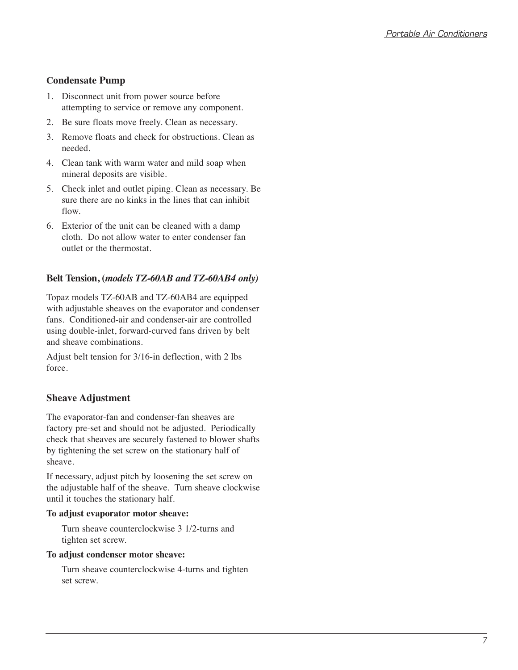### **Condensate Pump**

- 1. Disconnect unit from power source before attempting to service or remove any component.
- 2. Be sure floats move freely. Clean as necessary.
- 3. Remove floats and check for obstructions. Clean as needed.
- 4. Clean tank with warm water and mild soap when mineral deposits are visible.
- 5. Check inlet and outlet piping. Clean as necessary. Be sure there are no kinks in the lines that can inhibit flow.
- 6. Exterior of the unit can be cleaned with a damp cloth. Do not allow water to enter condenser fan outlet or the thermostat.

## **Belt Tension, (***models TZ-60AB and TZ-60AB4 only)*

Topaz models TZ-60AB and TZ-60AB4 are equipped with adjustable sheaves on the evaporator and condenser fans. Conditioned-air and condenser-air are controlled using double-inlet, forward-curved fans driven by belt and sheave combinations.

Adjust belt tension for 3/16-in deflection, with 2 lbs force.

## **Sheave Adjustment**

The evaporator-fan and condenser-fan sheaves are factory pre-set and should not be adjusted. Periodically check that sheaves are securely fastened to blower shafts by tightening the set screw on the stationary half of sheave.

If necessary, adjust pitch by loosening the set screw on the adjustable half of the sheave. Turn sheave clockwise until it touches the stationary half.

#### **To adjust evaporator motor sheave:**

Turn sheave counterclockwise 3 1/2-turns and tighten set screw.

#### **To adjust condenser motor sheave:**

Turn sheave counterclockwise 4-turns and tighten set screw.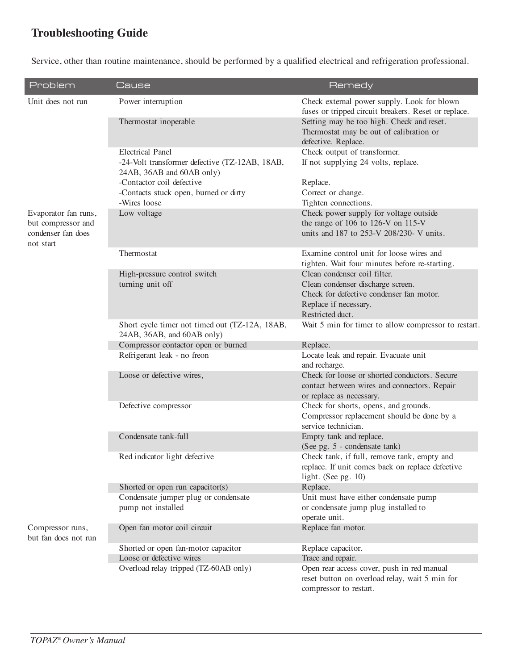# **Troubleshooting Guide**

Service, other than routine maintenance, should be performed by a qualified electrical and refrigeration professional.

| Problem                                                                       | Cause                                                                                                                               | Remedy                                                                                                                                                     |
|-------------------------------------------------------------------------------|-------------------------------------------------------------------------------------------------------------------------------------|------------------------------------------------------------------------------------------------------------------------------------------------------------|
| Unit does not run                                                             | Power interruption                                                                                                                  | Check external power supply. Look for blown<br>fuses or tripped circuit breakers. Reset or replace.                                                        |
|                                                                               | Thermostat inoperable                                                                                                               | Setting may be too high. Check and reset.<br>Thermostat may be out of calibration or<br>defective. Replace.                                                |
|                                                                               | <b>Electrical Panel</b><br>-24-Volt transformer defective (TZ-12AB, 18AB,<br>24AB, 36AB and 60AB only)<br>-Contactor coil defective | Check output of transformer.<br>If not supplying 24 volts, replace.<br>Replace.                                                                            |
|                                                                               | -Contacts stuck open, burned or dirty<br>-Wires loose                                                                               | Correct or change.<br>Tighten connections.                                                                                                                 |
| Evaporator fan runs,<br>but compressor and<br>condenser fan does<br>not start | Low voltage                                                                                                                         | Check power supply for voltage outside<br>the range of 106 to 126-V on 115-V<br>units and 187 to 253-V 208/230- V units.                                   |
|                                                                               | Thermostat                                                                                                                          | Examine control unit for loose wires and<br>tighten. Wait four minutes before re-starting.                                                                 |
|                                                                               | High-pressure control switch<br>turning unit off                                                                                    | Clean condenser coil filter.<br>Clean condenser discharge screen.<br>Check for defective condenser fan motor.<br>Replace if necessary.<br>Restricted duct. |
|                                                                               | Short cycle timer not timed out (TZ-12A, 18AB,<br>24AB, 36AB, and 60AB only)                                                        | Wait 5 min for timer to allow compressor to restart.                                                                                                       |
|                                                                               | Compressor contactor open or burned                                                                                                 | Replace.                                                                                                                                                   |
|                                                                               | Refrigerant leak - no freon                                                                                                         | Locate leak and repair. Evacuate unit<br>and recharge.                                                                                                     |
|                                                                               | Loose or defective wires,                                                                                                           | Check for loose or shorted conductors. Secure<br>contact between wires and connectors. Repair<br>or replace as necessary.                                  |
|                                                                               | Defective compressor                                                                                                                | Check for shorts, opens, and grounds.<br>Compressor replacement should be done by a<br>service technician.                                                 |
|                                                                               | Condensate tank-full                                                                                                                | Empty tank and replace.<br>(See pg. 5 - condensate tank)                                                                                                   |
|                                                                               | Red indicator light defective                                                                                                       | Check tank, if full, remove tank, empty and<br>replace. If unit comes back on replace defective<br>light. (See pg. $10$ )                                  |
|                                                                               | Shorted or open run capacitor(s)                                                                                                    | Replace.                                                                                                                                                   |
|                                                                               | Condensate jumper plug or condensate                                                                                                | Unit must have either condensate pump                                                                                                                      |
|                                                                               | pump not installed                                                                                                                  | or condensate jump plug installed to<br>operate unit.                                                                                                      |
| Compressor runs,<br>but fan does not run                                      | Open fan motor coil circuit                                                                                                         | Replace fan motor.                                                                                                                                         |
|                                                                               | Shorted or open fan-motor capacitor                                                                                                 | Replace capacitor.                                                                                                                                         |
|                                                                               | Loose or defective wires                                                                                                            | Trace and repair.                                                                                                                                          |
|                                                                               | Overload relay tripped (TZ-60AB only)                                                                                               | Open rear access cover, push in red manual<br>reset button on overload relay, wait 5 min for<br>compressor to restart.                                     |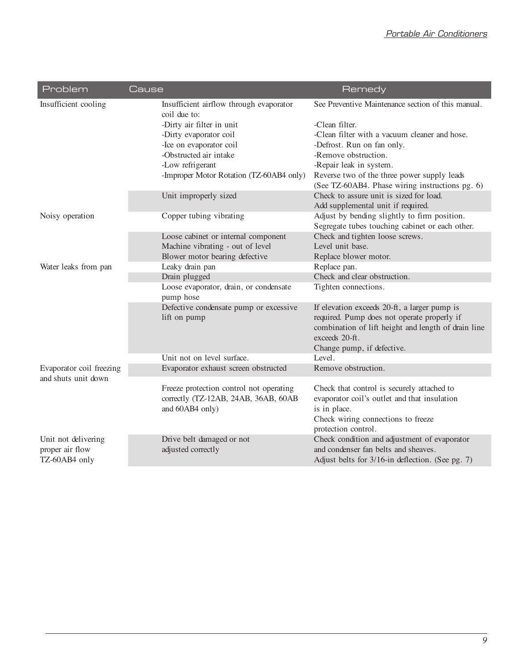| Problem                                                 | Cause                                                                                              | Remedy                                                                                                                                                                                             |
|---------------------------------------------------------|----------------------------------------------------------------------------------------------------|----------------------------------------------------------------------------------------------------------------------------------------------------------------------------------------------------|
| Insufficient cooling                                    | Insufficient airflow through evaporator<br>coil due to:                                            | See Preventive Maintenance section of this manual.                                                                                                                                                 |
|                                                         | -Dirty air filter in unit                                                                          | -Clean filter.                                                                                                                                                                                     |
|                                                         | -Dirty evaporator coil                                                                             | -Clean filter with a vacuum cleaner and hose.                                                                                                                                                      |
|                                                         | -Ice on evaporator coil                                                                            | -Defrost. Run on fan only.                                                                                                                                                                         |
|                                                         | -Obstructed air intake                                                                             | -Remove obstruction.                                                                                                                                                                               |
|                                                         | -Low refrigerant                                                                                   | -Repair leak in system.                                                                                                                                                                            |
|                                                         | -Improper Motor Rotation (TZ-60AB4 only)                                                           | Reverse two of the three power supply leads<br>(See TZ-60AB4. Phase wiring instructions pg. 6)                                                                                                     |
|                                                         | Unit improperly sized                                                                              | Check to assure unit is sized for load.                                                                                                                                                            |
|                                                         |                                                                                                    | Add supplemental unit if required.                                                                                                                                                                 |
| Noisy operation                                         | Copper tubing vibrating                                                                            | Adjust by bending slightly to firm position.                                                                                                                                                       |
|                                                         |                                                                                                    | Segregate tubes touching cabinet or each other.                                                                                                                                                    |
|                                                         | Loose cabinet or internal component                                                                | Check and tighten loose screws.                                                                                                                                                                    |
|                                                         | Machine vibrating - out of level                                                                   | Level unit base.                                                                                                                                                                                   |
|                                                         | Blower motor bearing defective                                                                     | Replace blower motor.                                                                                                                                                                              |
| Water leaks from pan                                    | Leaky drain pan                                                                                    | Replace pan.                                                                                                                                                                                       |
|                                                         | Drain plugged                                                                                      | Check and clear obstruction.                                                                                                                                                                       |
|                                                         | Loose evaporator, drain, or condensate<br>pump hose                                                | Tighten connections.                                                                                                                                                                               |
|                                                         | Defective condensate pump or excessive<br>lift on pump                                             | If elevation exceeds 20-ft, a larger pump is<br>required. Pump does not operate properly if<br>combination of lift height and length of drain line<br>exceeds 20-ft.<br>Change pump, if defective. |
|                                                         | Unit not on level surface.                                                                         | Level.                                                                                                                                                                                             |
| Evaporator coil freezing                                | Evaporator exhaust screen obstructed                                                               | Remove obstruction.                                                                                                                                                                                |
| and shuts unit down                                     | Freeze protection control not operating<br>correctly (TZ-12AB, 24AB, 36AB, 60AB<br>and 60AB4 only) | Check that control is securely attached to<br>evaporator coil's outlet and that insulation<br>is in place.<br>Check wiring connections to freeze<br>protection control.                            |
| Unit not delivering<br>proper air flow<br>TZ-60AB4 only | Drive belt damaged or not<br>adjusted correctly                                                    | Check condition and adjustment of evaporator<br>and condenser fan belts and sheaves.<br>Adjust belts for 3/16-in deflection. (See pg. 7)                                                           |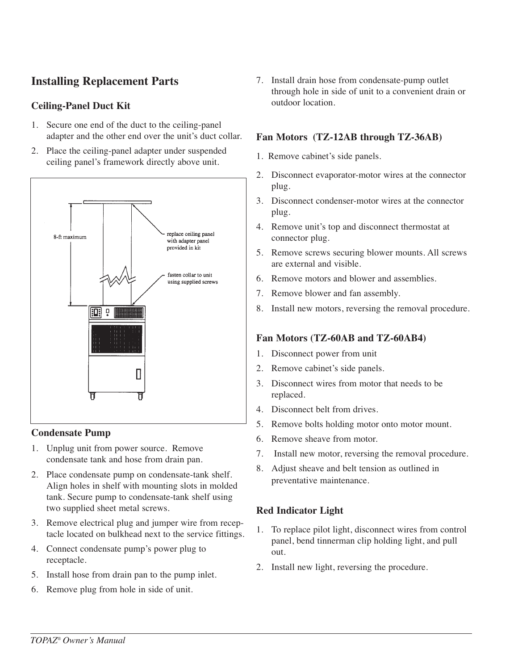## **Installing Replacement Parts**

## **Ceiling-Panel Duct Kit**

- 1. Secure one end of the duct to the ceiling-panel adapter and the other end over the unit's duct collar.
- 2. Place the ceiling-panel adapter under suspended ceiling panel's framework directly above unit.



#### **Condensate Pump**

- 1. Unplug unit from power source. Remove condensate tank and hose from drain pan.
- 2. Place condensate pump on condensate-tank shelf. Align holes in shelf with mounting slots in molded tank. Secure pump to condensate-tank shelf using two supplied sheet metal screws.
- 3. Remove electrical plug and jumper wire from receptacle located on bulkhead next to the service fittings.
- 4. Connect condensate pump's power plug to receptacle.
- 5. Install hose from drain pan to the pump inlet.
- 6. Remove plug from hole in side of unit.

7. Install drain hose from condensate-pump outlet through hole in side of unit to a convenient drain or outdoor location.

### **Fan Motors (TZ-12AB through TZ-36AB)**

- 1. Remove cabinet's side panels.
- 2. Disconnect evaporator-motor wires at the connector plug.
- 3. Disconnect condenser-motor wires at the connector plug.
- 4. Remove unit's top and disconnect thermostat at connector plug.
- 5. Remove screws securing blower mounts. All screws are external and visible.
- 6. Remove motors and blower and assemblies.
- 7. Remove blower and fan assembly.
- 8. Install new motors, reversing the removal procedure.

### **Fan Motors (TZ-60AB and TZ-60AB4)**

- 1. Disconnect power from unit
- 2. Remove cabinet's side panels.
- 3. Disconnect wires from motor that needs to be replaced.
- 4. Disconnect belt from drives.
- 5. Remove bolts holding motor onto motor mount.
- 6. Remove sheave from motor.
- 7. Install new motor, reversing the removal procedure.
- 8. Adjust sheave and belt tension as outlined in preventative maintenance.

## **Red Indicator Light**

- 1. To replace pilot light, disconnect wires from control panel, bend tinnerman clip holding light, and pull out.
- 2. Install new light, reversing the procedure.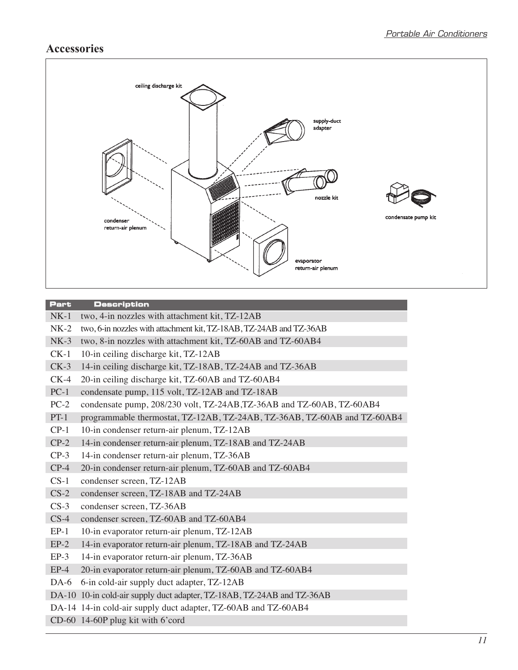## **Accessories**



#### **Part Description**

- NK-1 two, 4-in nozzles with attachment kit, TZ-12AB
- NK-2 two, 6-in nozzles with attachment kit, TZ-18AB, TZ-24AB and TZ-36AB
- NK-3 two, 8-in nozzles with attachment kit, TZ-60AB and TZ-60AB4
- CK-1 10-in ceiling discharge kit, TZ-12AB
- CK-3 14-in ceiling discharge kit, TZ-18AB, TZ-24AB and TZ-36AB
- CK-4 20-in ceiling discharge kit, TZ-60AB and TZ-60AB4
- PC-1 condensate pump, 115 volt, TZ-12AB and TZ-18AB
- PC-2 condensate pump, 208/230 volt, TZ-24AB,TZ-36AB and TZ-60AB, TZ-60AB4
- PT-1 programmable thermostat, TZ-12AB, TZ-24AB, TZ-36AB, TZ-60AB and TZ-60AB4
- CP-1 10-in condenser return-air plenum, TZ-12AB
- CP-2 14-in condenser return-air plenum, TZ-18AB and TZ-24AB
- CP-3 14-in condenser return-air plenum, TZ-36AB
- CP-4 20-in condenser return-air plenum, TZ-60AB and TZ-60AB4
- CS-1 condenser screen, TZ-12AB
- CS-2 condenser screen, TZ-18AB and TZ-24AB
- CS-3 condenser screen, TZ-36AB
- CS-4 condenser screen, TZ-60AB and TZ-60AB4
- EP-1 10-in evaporator return-air plenum, TZ-12AB
- EP-2 14-in evaporator return-air plenum, TZ-18AB and TZ-24AB
- EP-3 14-in evaporator return-air plenum, TZ-36AB
- EP-4 20-in evaporator return-air plenum, TZ-60AB and TZ-60AB4
- DA-6 6-in cold-air supply duct adapter, TZ-12AB
- DA-10 10-in cold-air supply duct adapter, TZ-18AB, TZ-24AB and TZ-36AB
- DA-14 14-in cold-air supply duct adapter, TZ-60AB and TZ-60AB4
- CD-60 14-60P plug kit with 6'cord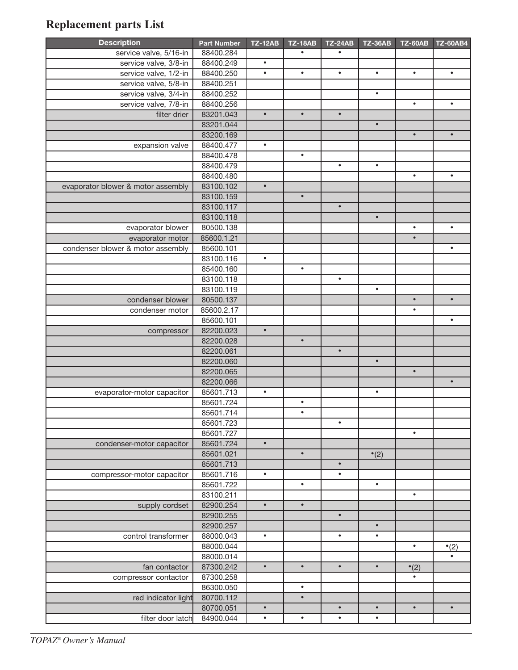# **Replacement parts List**

| <b>Description</b>                 | <b>Part Number</b> | <b>TZ-12AB</b> | <b>TZ-18AB</b> | <b>TZ-24AB</b> | <b>TZ-36AB</b> | <b>TZ-60AB</b> | <b>TZ-60AB4</b> |
|------------------------------------|--------------------|----------------|----------------|----------------|----------------|----------------|-----------------|
| service valve, 5/16-in             | 88400.284          |                | $\bullet$      | $\bullet$      |                |                |                 |
| service valve, 3/8-in              | 88400.249          | $\bullet$      |                |                |                |                |                 |
| service valve, 1/2-in              | 88400.250          | $\bullet$      | $\bullet$      | $\bullet$      | $\bullet$      | $\bullet$      | $\bullet$       |
| service valve, 5/8-in              | 88400.251          |                |                |                |                |                |                 |
| service valve, 3/4-in              | 88400.252          |                |                |                | $\bullet$      |                |                 |
| service valve, 7/8-in              | 88400.256          |                |                |                |                | $\bullet$      | $\bullet$       |
| filter drier                       | 83201.043          | $\bullet$      | $\bullet$      | $\bullet$      |                |                |                 |
|                                    | 83201.044          |                |                |                | $\bullet$      |                |                 |
|                                    | 83200.169          |                |                |                |                | $\bullet$      | $\bullet$       |
| expansion valve                    | 88400.477          | $\bullet$      |                |                |                |                |                 |
|                                    | 88400.478          |                | $\bullet$      |                |                |                |                 |
|                                    | 88400.479          |                |                | $\bullet$      | $\bullet$      |                |                 |
|                                    | 88400.480          |                |                |                |                | $\bullet$      | $\bullet$       |
| evaporator blower & motor assembly | 83100.102          | $\bullet$      |                |                |                |                |                 |
|                                    | 83100.159          |                | $\bullet$      |                |                |                |                 |
|                                    | 83100.117          |                |                | $\bullet$      |                |                |                 |
|                                    | 83100.118          |                |                |                | $\bullet$      |                |                 |
| evaporator blower                  | 80500.138          |                |                |                |                | $\bullet$      | $\bullet$       |
| evaporator motor                   | 85600.1.21         |                |                |                |                | $\bullet$      |                 |
| condenser blower & motor assembly  | 85600.101          |                |                |                |                |                | $\bullet$       |
|                                    | 83100.116          | $\bullet$      |                |                |                |                |                 |
|                                    | 85400.160          |                | $\bullet$      |                |                |                |                 |
|                                    | 83100.118          |                |                | $\bullet$      |                |                |                 |
|                                    | 83100.119          |                |                |                | $\bullet$      |                |                 |
| condenser blower                   | 80500.137          |                |                |                |                | $\bullet$      | $\bullet$       |
| condenser motor                    | 85600.2.17         |                |                |                |                | $\bullet$      |                 |
|                                    | 85600.101          |                |                |                |                |                | $\bullet$       |
| compressor                         | 82200.023          | $\bullet$      |                |                |                |                |                 |
|                                    | 82200.028          |                | $\bullet$      |                |                |                |                 |
|                                    | 82200.061          |                |                | $\bullet$      |                |                |                 |
|                                    | 82200.060          |                |                |                | $\bullet$      |                |                 |
|                                    | 82200.065          |                |                |                |                | $\bullet$      |                 |
|                                    | 82200.066          |                |                |                |                |                | $\bullet$       |
| evaporator-motor capacitor         | 85601.713          | $\bullet$      |                |                | $\bullet$      |                |                 |
|                                    | 85601.724          |                | $\bullet$      |                |                |                |                 |
|                                    | 85601.714          |                | $\bullet$      |                |                |                |                 |
|                                    | 85601.723          |                |                | $\bullet$      |                |                |                 |
|                                    | 85601.727          |                |                |                |                | $\bullet$      |                 |
| condenser-motor capacitor          | 85601.724          | $\bullet$      |                |                |                |                |                 |
|                                    | 85601.021          |                | $\bullet$      |                | $\cdot$ (2)    |                |                 |
|                                    | 85601.713          |                |                | $\bullet$      |                |                |                 |
| compressor-motor capacitor         | 85601.716          | $\bullet$      |                | $\bullet$      |                |                |                 |
|                                    | 85601.722          |                | $\bullet$      |                | $\bullet$      |                |                 |
|                                    | 83100.211          |                |                |                |                | $\bullet$      |                 |
| supply cordset                     | 82900.254          | $\bullet$      | $\bullet$      |                |                |                |                 |
|                                    | 82900.255          |                |                | $\bullet$      |                |                |                 |
|                                    | 82900.257          |                |                |                | $\bullet$      |                |                 |
| control transformer                | 88000.043          | $\bullet$      |                | $\bullet$      | $\bullet$      |                |                 |
|                                    | 88000.044          |                |                |                |                | $\bullet$      | $\cdot$ (2)     |
|                                    | 88000.014          |                |                |                |                |                |                 |
| fan contactor                      | 87300.242          | $\bullet$      | $\bullet$      | $\bullet$      | $\bullet$      | $\cdot$ (2)    |                 |
| compressor contactor               | 87300.258          |                |                |                |                | $\bullet$      |                 |
|                                    | 86300.050          |                | $\bullet$      |                |                |                |                 |
| red indicator light                | 80700.112          |                | $\bullet$      |                |                |                |                 |
|                                    | 80700.051          | $\bullet$      |                | $\bullet$      | $\bullet$      | $\bullet$      | $\bullet$       |
| filter door latch                  | 84900.044          | $\bullet$      | $\bullet$      | $\bullet$      | $\bullet$      |                |                 |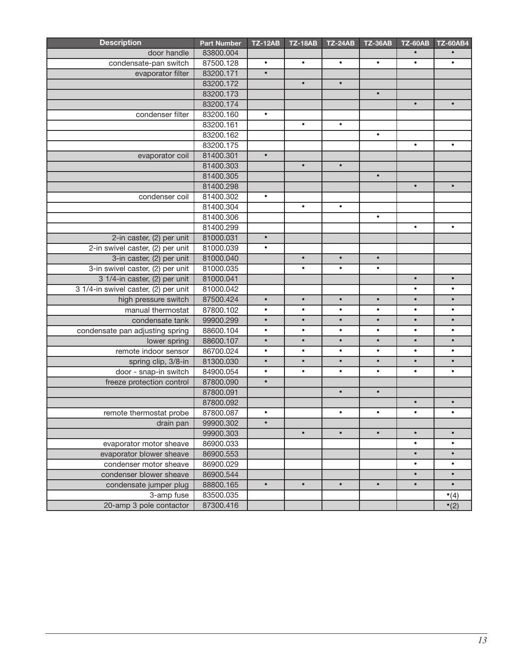| door handle<br>83800.004<br>condensate-pan switch<br>87500.128<br>$\bullet$<br>$\bullet$<br>$\bullet$<br>$\bullet$<br>$\bullet$<br>$\bullet$<br>evaporator filter<br>83200.171<br>$\bullet$<br>83200.172<br>$\bullet$<br>$\bullet$<br>83200.173<br>$\bullet$<br>83200.174<br>$\bullet$<br>$\bullet$<br>condenser filter<br>83200.160<br>$\bullet$<br>83200.161<br>$\bullet$<br>$\bullet$<br>83200.162<br>$\bullet$<br>83200.175<br>$\bullet$<br>$\bullet$<br>$\bullet$<br>81400.301<br>evaporator coil<br>81400.303<br>$\bullet$<br>$\bullet$<br>81400.305<br>$\bullet$<br>$\bullet$<br>$\bullet$<br>81400.298<br>81400.302<br>$\bullet$<br>condenser coil<br>$\bullet$<br>$\bullet$<br>81400.304<br>81400.306<br>$\bullet$<br>81400.299<br>$\bullet$<br>$\bullet$<br>2-in caster, (2) per unit<br>$\bullet$<br>81000.031<br>2-in swivel caster, (2) per unit<br>81000.039<br>$\bullet$<br>3-in caster, (2) per unit<br>81000.040<br>$\bullet$<br>$\bullet$<br>$\bullet$<br>3-in swivel caster, (2) per unit<br>81000.035<br>$\bullet$<br>$\bullet$<br>$\bullet$<br>3 1/4-in caster, (2) per unit<br>81000.041<br>$\bullet$<br>$\bullet$<br>3 1/4-in swivel caster, (2) per unit<br>81000.042<br>$\bullet$<br>high pressure switch<br>87500.424<br>$\bullet$<br>$\bullet$<br>$\bullet$<br>$\bullet$<br>$\bullet$<br>$\bullet$<br>manual thermostat<br>87800.102<br>$\bullet$<br>$\bullet$<br>$\bullet$<br>$\bullet$<br>$\bullet$<br>$\bullet$<br>condensate tank<br>99900.299<br>$\bullet$<br>$\bullet$<br>$\bullet$<br>$\bullet$<br>$\bullet$<br>$\bullet$<br>88600.104<br>condensate pan adjusting spring<br>$\bullet$<br>$\bullet$<br>$\bullet$<br>$\bullet$<br>$\bullet$<br>$\bullet$<br>88600.107<br>$\bullet$<br>$\bullet$<br>$\bullet$<br>$\bullet$<br>$\bullet$<br>$\bullet$<br>lower spring<br>remote indoor sensor<br>86700.024<br>$\bullet$<br>$\bullet$<br>$\bullet$<br>$\bullet$<br>$\bullet$<br>$\bullet$ |
|-------------------------------------------------------------------------------------------------------------------------------------------------------------------------------------------------------------------------------------------------------------------------------------------------------------------------------------------------------------------------------------------------------------------------------------------------------------------------------------------------------------------------------------------------------------------------------------------------------------------------------------------------------------------------------------------------------------------------------------------------------------------------------------------------------------------------------------------------------------------------------------------------------------------------------------------------------------------------------------------------------------------------------------------------------------------------------------------------------------------------------------------------------------------------------------------------------------------------------------------------------------------------------------------------------------------------------------------------------------------------------------------------------------------------------------------------------------------------------------------------------------------------------------------------------------------------------------------------------------------------------------------------------------------------------------------------------------------------------------------------------------------------------------------------------------------------------------------------------------------------------------------------------------------------|
|                                                                                                                                                                                                                                                                                                                                                                                                                                                                                                                                                                                                                                                                                                                                                                                                                                                                                                                                                                                                                                                                                                                                                                                                                                                                                                                                                                                                                                                                                                                                                                                                                                                                                                                                                                                                                                                                                                                         |
|                                                                                                                                                                                                                                                                                                                                                                                                                                                                                                                                                                                                                                                                                                                                                                                                                                                                                                                                                                                                                                                                                                                                                                                                                                                                                                                                                                                                                                                                                                                                                                                                                                                                                                                                                                                                                                                                                                                         |
|                                                                                                                                                                                                                                                                                                                                                                                                                                                                                                                                                                                                                                                                                                                                                                                                                                                                                                                                                                                                                                                                                                                                                                                                                                                                                                                                                                                                                                                                                                                                                                                                                                                                                                                                                                                                                                                                                                                         |
|                                                                                                                                                                                                                                                                                                                                                                                                                                                                                                                                                                                                                                                                                                                                                                                                                                                                                                                                                                                                                                                                                                                                                                                                                                                                                                                                                                                                                                                                                                                                                                                                                                                                                                                                                                                                                                                                                                                         |
|                                                                                                                                                                                                                                                                                                                                                                                                                                                                                                                                                                                                                                                                                                                                                                                                                                                                                                                                                                                                                                                                                                                                                                                                                                                                                                                                                                                                                                                                                                                                                                                                                                                                                                                                                                                                                                                                                                                         |
|                                                                                                                                                                                                                                                                                                                                                                                                                                                                                                                                                                                                                                                                                                                                                                                                                                                                                                                                                                                                                                                                                                                                                                                                                                                                                                                                                                                                                                                                                                                                                                                                                                                                                                                                                                                                                                                                                                                         |
|                                                                                                                                                                                                                                                                                                                                                                                                                                                                                                                                                                                                                                                                                                                                                                                                                                                                                                                                                                                                                                                                                                                                                                                                                                                                                                                                                                                                                                                                                                                                                                                                                                                                                                                                                                                                                                                                                                                         |
|                                                                                                                                                                                                                                                                                                                                                                                                                                                                                                                                                                                                                                                                                                                                                                                                                                                                                                                                                                                                                                                                                                                                                                                                                                                                                                                                                                                                                                                                                                                                                                                                                                                                                                                                                                                                                                                                                                                         |
|                                                                                                                                                                                                                                                                                                                                                                                                                                                                                                                                                                                                                                                                                                                                                                                                                                                                                                                                                                                                                                                                                                                                                                                                                                                                                                                                                                                                                                                                                                                                                                                                                                                                                                                                                                                                                                                                                                                         |
|                                                                                                                                                                                                                                                                                                                                                                                                                                                                                                                                                                                                                                                                                                                                                                                                                                                                                                                                                                                                                                                                                                                                                                                                                                                                                                                                                                                                                                                                                                                                                                                                                                                                                                                                                                                                                                                                                                                         |
|                                                                                                                                                                                                                                                                                                                                                                                                                                                                                                                                                                                                                                                                                                                                                                                                                                                                                                                                                                                                                                                                                                                                                                                                                                                                                                                                                                                                                                                                                                                                                                                                                                                                                                                                                                                                                                                                                                                         |
|                                                                                                                                                                                                                                                                                                                                                                                                                                                                                                                                                                                                                                                                                                                                                                                                                                                                                                                                                                                                                                                                                                                                                                                                                                                                                                                                                                                                                                                                                                                                                                                                                                                                                                                                                                                                                                                                                                                         |
|                                                                                                                                                                                                                                                                                                                                                                                                                                                                                                                                                                                                                                                                                                                                                                                                                                                                                                                                                                                                                                                                                                                                                                                                                                                                                                                                                                                                                                                                                                                                                                                                                                                                                                                                                                                                                                                                                                                         |
|                                                                                                                                                                                                                                                                                                                                                                                                                                                                                                                                                                                                                                                                                                                                                                                                                                                                                                                                                                                                                                                                                                                                                                                                                                                                                                                                                                                                                                                                                                                                                                                                                                                                                                                                                                                                                                                                                                                         |
|                                                                                                                                                                                                                                                                                                                                                                                                                                                                                                                                                                                                                                                                                                                                                                                                                                                                                                                                                                                                                                                                                                                                                                                                                                                                                                                                                                                                                                                                                                                                                                                                                                                                                                                                                                                                                                                                                                                         |
|                                                                                                                                                                                                                                                                                                                                                                                                                                                                                                                                                                                                                                                                                                                                                                                                                                                                                                                                                                                                                                                                                                                                                                                                                                                                                                                                                                                                                                                                                                                                                                                                                                                                                                                                                                                                                                                                                                                         |
|                                                                                                                                                                                                                                                                                                                                                                                                                                                                                                                                                                                                                                                                                                                                                                                                                                                                                                                                                                                                                                                                                                                                                                                                                                                                                                                                                                                                                                                                                                                                                                                                                                                                                                                                                                                                                                                                                                                         |
|                                                                                                                                                                                                                                                                                                                                                                                                                                                                                                                                                                                                                                                                                                                                                                                                                                                                                                                                                                                                                                                                                                                                                                                                                                                                                                                                                                                                                                                                                                                                                                                                                                                                                                                                                                                                                                                                                                                         |
|                                                                                                                                                                                                                                                                                                                                                                                                                                                                                                                                                                                                                                                                                                                                                                                                                                                                                                                                                                                                                                                                                                                                                                                                                                                                                                                                                                                                                                                                                                                                                                                                                                                                                                                                                                                                                                                                                                                         |
|                                                                                                                                                                                                                                                                                                                                                                                                                                                                                                                                                                                                                                                                                                                                                                                                                                                                                                                                                                                                                                                                                                                                                                                                                                                                                                                                                                                                                                                                                                                                                                                                                                                                                                                                                                                                                                                                                                                         |
|                                                                                                                                                                                                                                                                                                                                                                                                                                                                                                                                                                                                                                                                                                                                                                                                                                                                                                                                                                                                                                                                                                                                                                                                                                                                                                                                                                                                                                                                                                                                                                                                                                                                                                                                                                                                                                                                                                                         |
|                                                                                                                                                                                                                                                                                                                                                                                                                                                                                                                                                                                                                                                                                                                                                                                                                                                                                                                                                                                                                                                                                                                                                                                                                                                                                                                                                                                                                                                                                                                                                                                                                                                                                                                                                                                                                                                                                                                         |
|                                                                                                                                                                                                                                                                                                                                                                                                                                                                                                                                                                                                                                                                                                                                                                                                                                                                                                                                                                                                                                                                                                                                                                                                                                                                                                                                                                                                                                                                                                                                                                                                                                                                                                                                                                                                                                                                                                                         |
|                                                                                                                                                                                                                                                                                                                                                                                                                                                                                                                                                                                                                                                                                                                                                                                                                                                                                                                                                                                                                                                                                                                                                                                                                                                                                                                                                                                                                                                                                                                                                                                                                                                                                                                                                                                                                                                                                                                         |
|                                                                                                                                                                                                                                                                                                                                                                                                                                                                                                                                                                                                                                                                                                                                                                                                                                                                                                                                                                                                                                                                                                                                                                                                                                                                                                                                                                                                                                                                                                                                                                                                                                                                                                                                                                                                                                                                                                                         |
|                                                                                                                                                                                                                                                                                                                                                                                                                                                                                                                                                                                                                                                                                                                                                                                                                                                                                                                                                                                                                                                                                                                                                                                                                                                                                                                                                                                                                                                                                                                                                                                                                                                                                                                                                                                                                                                                                                                         |
|                                                                                                                                                                                                                                                                                                                                                                                                                                                                                                                                                                                                                                                                                                                                                                                                                                                                                                                                                                                                                                                                                                                                                                                                                                                                                                                                                                                                                                                                                                                                                                                                                                                                                                                                                                                                                                                                                                                         |
|                                                                                                                                                                                                                                                                                                                                                                                                                                                                                                                                                                                                                                                                                                                                                                                                                                                                                                                                                                                                                                                                                                                                                                                                                                                                                                                                                                                                                                                                                                                                                                                                                                                                                                                                                                                                                                                                                                                         |
|                                                                                                                                                                                                                                                                                                                                                                                                                                                                                                                                                                                                                                                                                                                                                                                                                                                                                                                                                                                                                                                                                                                                                                                                                                                                                                                                                                                                                                                                                                                                                                                                                                                                                                                                                                                                                                                                                                                         |
|                                                                                                                                                                                                                                                                                                                                                                                                                                                                                                                                                                                                                                                                                                                                                                                                                                                                                                                                                                                                                                                                                                                                                                                                                                                                                                                                                                                                                                                                                                                                                                                                                                                                                                                                                                                                                                                                                                                         |
| 81300.030<br>$\bullet$<br>$\bullet$<br>spring clip, 3/8-in<br>$\bullet$<br>$\bullet$<br>$\bullet$<br>$\bullet$                                                                                                                                                                                                                                                                                                                                                                                                                                                                                                                                                                                                                                                                                                                                                                                                                                                                                                                                                                                                                                                                                                                                                                                                                                                                                                                                                                                                                                                                                                                                                                                                                                                                                                                                                                                                          |
| door - snap-in switch<br>84900.054<br>$\bullet$<br>$\bullet$<br>$\bullet$<br>$\bullet$<br>$\bullet$<br>$\bullet$                                                                                                                                                                                                                                                                                                                                                                                                                                                                                                                                                                                                                                                                                                                                                                                                                                                                                                                                                                                                                                                                                                                                                                                                                                                                                                                                                                                                                                                                                                                                                                                                                                                                                                                                                                                                        |
| freeze protection control<br>87800.090<br>$\bullet$                                                                                                                                                                                                                                                                                                                                                                                                                                                                                                                                                                                                                                                                                                                                                                                                                                                                                                                                                                                                                                                                                                                                                                                                                                                                                                                                                                                                                                                                                                                                                                                                                                                                                                                                                                                                                                                                     |
| 87800.091<br>$\bullet$<br>$\bullet$                                                                                                                                                                                                                                                                                                                                                                                                                                                                                                                                                                                                                                                                                                                                                                                                                                                                                                                                                                                                                                                                                                                                                                                                                                                                                                                                                                                                                                                                                                                                                                                                                                                                                                                                                                                                                                                                                     |
| 87800.092<br>$\bullet$<br>$\bullet$                                                                                                                                                                                                                                                                                                                                                                                                                                                                                                                                                                                                                                                                                                                                                                                                                                                                                                                                                                                                                                                                                                                                                                                                                                                                                                                                                                                                                                                                                                                                                                                                                                                                                                                                                                                                                                                                                     |
| 87800.087<br>$\bullet$<br>$\bullet$<br>$\bullet$<br>remote thermostat probe<br>$\bullet$<br>$\bullet$                                                                                                                                                                                                                                                                                                                                                                                                                                                                                                                                                                                                                                                                                                                                                                                                                                                                                                                                                                                                                                                                                                                                                                                                                                                                                                                                                                                                                                                                                                                                                                                                                                                                                                                                                                                                                   |
| $\bullet$<br>99900.302<br>drain pan                                                                                                                                                                                                                                                                                                                                                                                                                                                                                                                                                                                                                                                                                                                                                                                                                                                                                                                                                                                                                                                                                                                                                                                                                                                                                                                                                                                                                                                                                                                                                                                                                                                                                                                                                                                                                                                                                     |
| 99900.303<br>$\bullet$<br>$\bullet$<br>$\bullet$<br>$\bullet$<br>$\bullet$                                                                                                                                                                                                                                                                                                                                                                                                                                                                                                                                                                                                                                                                                                                                                                                                                                                                                                                                                                                                                                                                                                                                                                                                                                                                                                                                                                                                                                                                                                                                                                                                                                                                                                                                                                                                                                              |
| evaporator motor sheave<br>86900.033<br>$\bullet$<br>$\bullet$                                                                                                                                                                                                                                                                                                                                                                                                                                                                                                                                                                                                                                                                                                                                                                                                                                                                                                                                                                                                                                                                                                                                                                                                                                                                                                                                                                                                                                                                                                                                                                                                                                                                                                                                                                                                                                                          |
| evaporator blower sheave<br>86900.553<br>$\bullet$<br>$\bullet$                                                                                                                                                                                                                                                                                                                                                                                                                                                                                                                                                                                                                                                                                                                                                                                                                                                                                                                                                                                                                                                                                                                                                                                                                                                                                                                                                                                                                                                                                                                                                                                                                                                                                                                                                                                                                                                         |
| condenser motor sheave<br>86900.029<br>$\bullet$<br>$\bullet$                                                                                                                                                                                                                                                                                                                                                                                                                                                                                                                                                                                                                                                                                                                                                                                                                                                                                                                                                                                                                                                                                                                                                                                                                                                                                                                                                                                                                                                                                                                                                                                                                                                                                                                                                                                                                                                           |
| condenser blower sheave<br>86900.544<br>$\bullet$<br>$\bullet$                                                                                                                                                                                                                                                                                                                                                                                                                                                                                                                                                                                                                                                                                                                                                                                                                                                                                                                                                                                                                                                                                                                                                                                                                                                                                                                                                                                                                                                                                                                                                                                                                                                                                                                                                                                                                                                          |
| condensate jumper plug<br>88800.165<br>$\bullet$<br>$\bullet$<br>$\bullet$<br>$\bullet$<br>$\bullet$<br>$\bullet$                                                                                                                                                                                                                                                                                                                                                                                                                                                                                                                                                                                                                                                                                                                                                                                                                                                                                                                                                                                                                                                                                                                                                                                                                                                                                                                                                                                                                                                                                                                                                                                                                                                                                                                                                                                                       |
| 3-amp fuse<br>83500.035<br>$\cdot$ (4)                                                                                                                                                                                                                                                                                                                                                                                                                                                                                                                                                                                                                                                                                                                                                                                                                                                                                                                                                                                                                                                                                                                                                                                                                                                                                                                                                                                                                                                                                                                                                                                                                                                                                                                                                                                                                                                                                  |
| 20-amp 3 pole contactor<br>87300.416<br>$\cdot$ (2)                                                                                                                                                                                                                                                                                                                                                                                                                                                                                                                                                                                                                                                                                                                                                                                                                                                                                                                                                                                                                                                                                                                                                                                                                                                                                                                                                                                                                                                                                                                                                                                                                                                                                                                                                                                                                                                                     |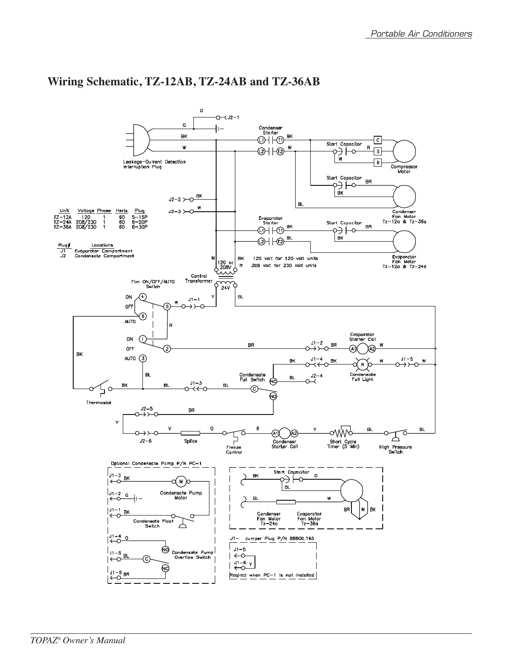

## **Wiring Schematic, TZ-12AB, TZ-24AB and TZ-36AB**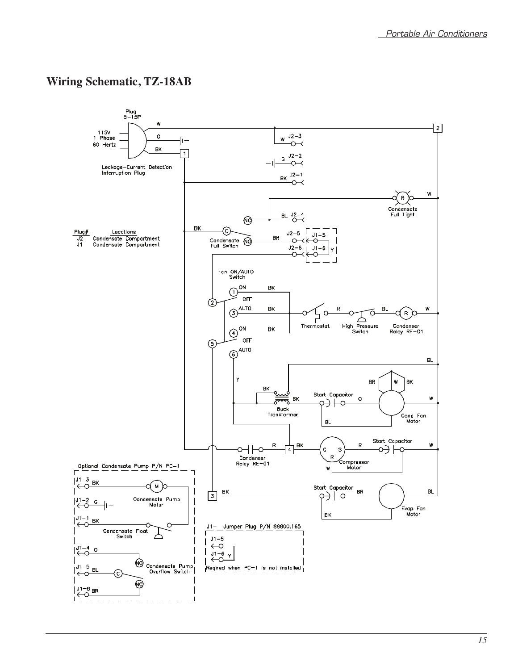## **Wiring Schematic, TZ-18AB**

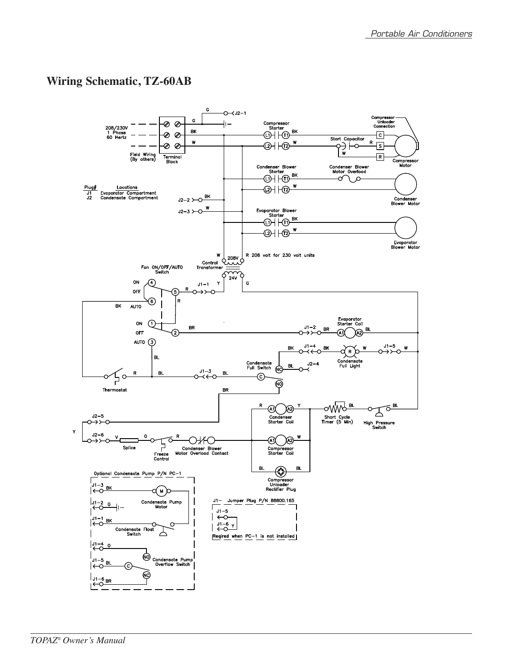## **Wiring Schematic, TZ-60AB**

![](_page_14_Figure_2.jpeg)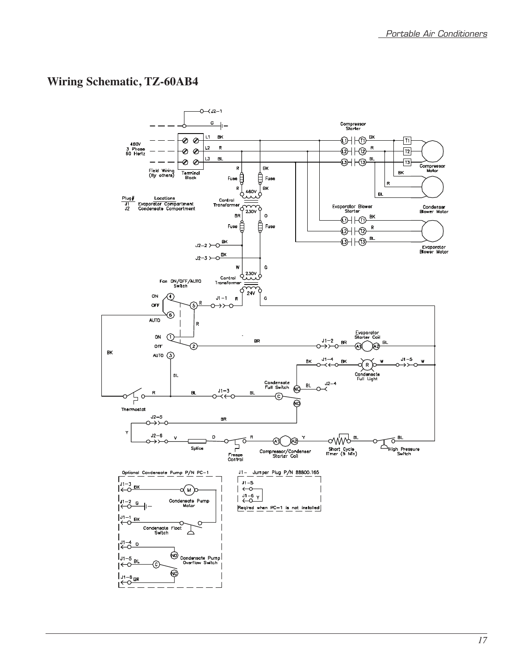## **Wiring Schematic, TZ-60AB4**

![](_page_15_Figure_2.jpeg)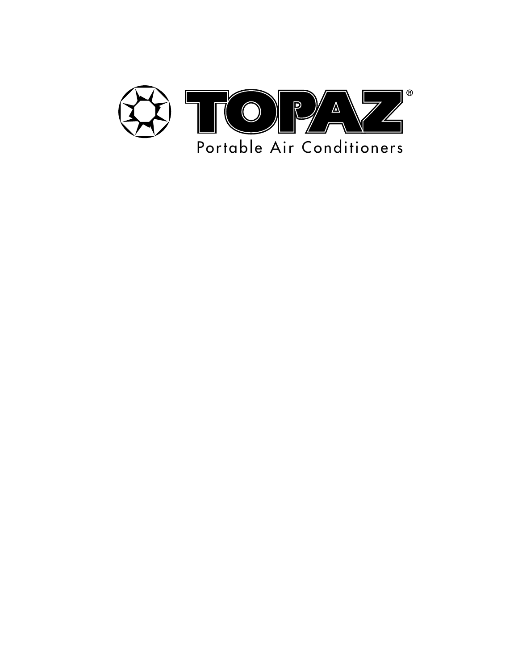![](_page_16_Picture_0.jpeg)